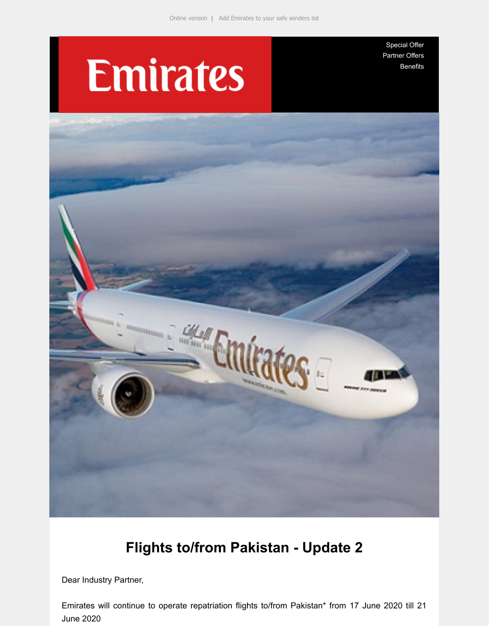# **Emirates**

[Special Offer](https://e.emiratesagents.com/2OIL-11QRM-2BLHTK-NMQ9O-1/c.aspx) [Partner Offers](https://e.emiratesagents.com/2OIL-11QRM-2BLHTK-NMQ9P-1/c.aspx) [Benefits](https://e.emiratesagents.com/2OIL-11QRM-2BLHTK-NMQ9Q-1/c.aspx)



# **Flights to/from Pakistan - Update 2**

Dear Industry Partner,

Emirates will continue to operate repatriation flights to/from Pakistan\* from 17 June 2020 till 21 June 2020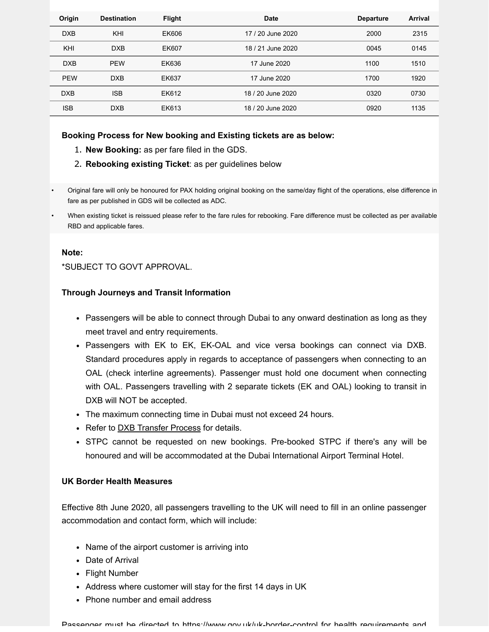| Origin     | <b>Destination</b> | <b>Flight</b> | Date              | <b>Departure</b> | Arrival |
|------------|--------------------|---------------|-------------------|------------------|---------|
| <b>DXB</b> | KHI                | EK606         | 17 / 20 June 2020 | 2000             | 2315    |
| KHI        | <b>DXB</b>         | EK607         | 18 / 21 June 2020 | 0045             | 0145    |
| <b>DXB</b> | <b>PEW</b>         | EK636         | 17 June 2020      | 1100             | 1510    |
| <b>PEW</b> | <b>DXB</b>         | EK637         | 17 June 2020      | 1700             | 1920    |
| <b>DXB</b> | <b>ISB</b>         | EK612         | 18 / 20 June 2020 | 0320             | 0730    |
| <b>ISB</b> | <b>DXB</b>         | EK613         | 18 / 20 June 2020 | 0920             | 1135    |

#### **Booking Process for New booking and Existing tickets are as below:**

- 1. **New Booking:** as per fare filed in the GDS.
- 2. **Rebooking existing Ticket**: as per guidelines below
- Original fare will only be honoured for PAX holding original booking on the same/day flight of the operations, else difference in fare as per published in GDS will be collected as ADC.
- When existing ticket is reissued please refer to the fare rules for rebooking. Fare difference must be collected as per available RBD and applicable fares.

#### **Note:**

\*SUBJECT TO GOVT APPROVAL.

#### **Through Journeys and Transit Information**

- Passengers will be able to connect through Dubai to any onward destination as long as they meet travel and entry requirements.
- Passengers with EK to EK, EK-OAL and vice versa bookings can connect via DXB. Standard procedures apply in regards to acceptance of passengers when connecting to an OAL (check interline agreements). Passenger must hold one document when connecting with OAL. Passengers travelling with 2 separate tickets (EK and OAL) looking to transit in DXB will NOT be accepted.
- The maximum connecting time in Dubai must not exceed 24 hours.
- Refer to **[DXB Transfer Process](https://e.emiratesagents.com/2OIL-11QRM-2BLHTK-NMQJR-1/c.aspx)** for details.
- STPC cannot be requested on new bookings. Pre-booked STPC if there's any will be honoured and will be accommodated at the Dubai International Airport Terminal Hotel.

## **UK Border Health Measures**

Effective 8th June 2020, all passengers travelling to the UK will need to fill in an online passenger accommodation and contact form, which will include:

- Name of the airport customer is arriving into
- Date of Arrival
- Flight Number
- Address where customer will stay for the first 14 days in UK
- Phone number and email address

Passenger must be directed to https://www.gov.[uk/uk-border-control](https://e.emiratesagents.com/2OIL-11QRM-2BLHTK-NMV68-1/c.aspx) for health requirements and